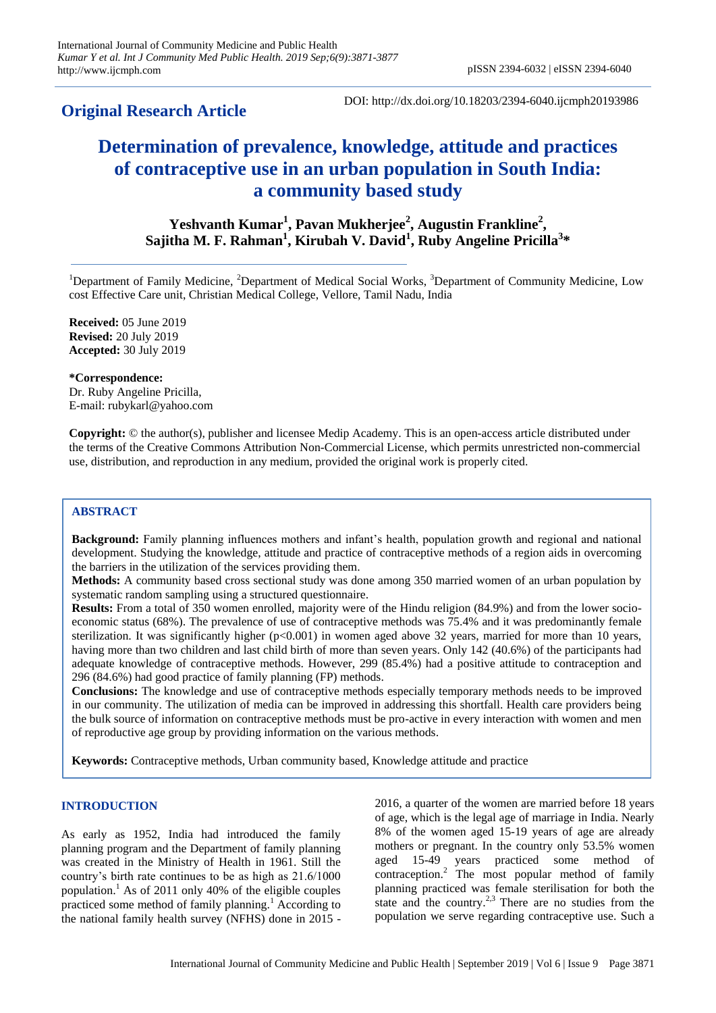# **Original Research Article**

DOI: http://dx.doi.org/10.18203/2394-6040.ijcmph20193986

# **Determination of prevalence, knowledge, attitude and practices of contraceptive use in an urban population in South India: a community based study**

**Yeshvanth Kumar<sup>1</sup> , Pavan Mukherjee<sup>2</sup> , Augustin Frankline<sup>2</sup> , Sajitha M. F. Rahman<sup>1</sup> , Kirubah V. David<sup>1</sup> , Ruby Angeline Pricilla<sup>3</sup> \***

<sup>1</sup>Department of Family Medicine, <sup>2</sup>Department of Medical Social Works, <sup>3</sup>Department of Community Medicine, Low cost Effective Care unit, Christian Medical College, Vellore, Tamil Nadu, India

**Received:** 05 June 2019 **Revised:** 20 July 2019 **Accepted:** 30 July 2019

**\*Correspondence:** Dr. Ruby Angeline Pricilla,

E-mail: rubykarl@yahoo.com

**Copyright:** © the author(s), publisher and licensee Medip Academy. This is an open-access article distributed under the terms of the Creative Commons Attribution Non-Commercial License, which permits unrestricted non-commercial use, distribution, and reproduction in any medium, provided the original work is properly cited.

# **ABSTRACT**

**Background:** Family planning influences mothers and infant's health, population growth and regional and national development. Studying the knowledge, attitude and practice of contraceptive methods of a region aids in overcoming the barriers in the utilization of the services providing them.

**Methods:** A community based cross sectional study was done among 350 married women of an urban population by systematic random sampling using a structured questionnaire.

**Results:** From a total of 350 women enrolled, majority were of the Hindu religion (84.9%) and from the lower socioeconomic status (68%). The prevalence of use of contraceptive methods was 75.4% and it was predominantly female sterilization. It was significantly higher (p<0.001) in women aged above 32 years, married for more than 10 years, having more than two children and last child birth of more than seven years. Only 142 (40.6%) of the participants had adequate knowledge of contraceptive methods. However, 299 (85.4%) had a positive attitude to contraception and 296 (84.6%) had good practice of family planning (FP) methods.

**Conclusions:** The knowledge and use of contraceptive methods especially temporary methods needs to be improved in our community. The utilization of media can be improved in addressing this shortfall. Health care providers being the bulk source of information on contraceptive methods must be pro-active in every interaction with women and men of reproductive age group by providing information on the various methods.

**Keywords:** Contraceptive methods, Urban community based, Knowledge attitude and practice

#### **INTRODUCTION**

As early as 1952, India had introduced the family planning program and the Department of family planning was created in the Ministry of Health in 1961. Still the country's birth rate continues to be as high as 21.6/1000 population.<sup>1</sup> As of 2011 only 40% of the eligible couples practiced some method of family planning.<sup>1</sup> According to the national family health survey (NFHS) done in 2015 - 2016, a quarter of the women are married before 18 years of age, which is the legal age of marriage in India. Nearly 8% of the women aged 15-19 years of age are already mothers or pregnant. In the country only 53.5% women aged 15-49 years practiced some method of contraception.<sup>2</sup> The most popular method of family planning practiced was female sterilisation for both the state and the country.<sup>2,3</sup> There are no studies from the population we serve regarding contraceptive use. Such a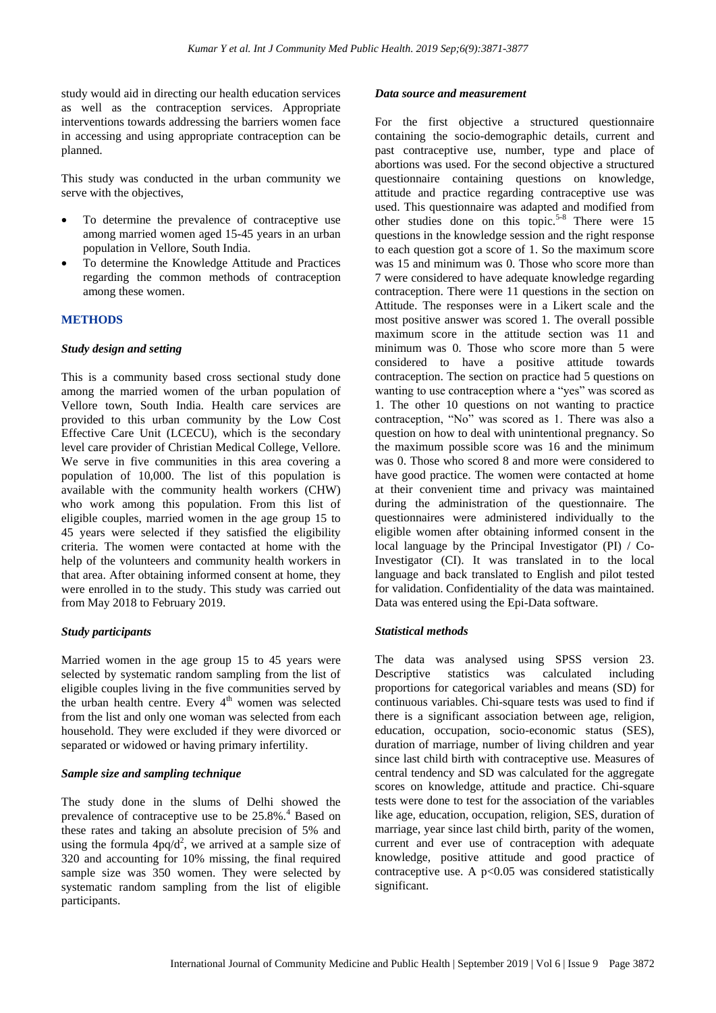study would aid in directing our health education services as well as the contraception services. Appropriate interventions towards addressing the barriers women face in accessing and using appropriate contraception can be planned.

This study was conducted in the urban community we serve with the objectives,

- To determine the prevalence of contraceptive use among married women aged 15-45 years in an urban population in Vellore, South India.
- To determine the Knowledge Attitude and Practices regarding the common methods of contraception among these women.

# **METHODS**

#### *Study design and setting*

This is a community based cross sectional study done among the married women of the urban population of Vellore town, South India. Health care services are provided to this urban community by the Low Cost Effective Care Unit (LCECU), which is the secondary level care provider of Christian Medical College, Vellore. We serve in five communities in this area covering a population of 10,000. The list of this population is available with the community health workers (CHW) who work among this population. From this list of eligible couples, married women in the age group 15 to 45 years were selected if they satisfied the eligibility criteria. The women were contacted at home with the help of the volunteers and community health workers in that area. After obtaining informed consent at home, they were enrolled in to the study. This study was carried out from May 2018 to February 2019.

#### *Study participants*

Married women in the age group 15 to 45 years were selected by systematic random sampling from the list of eligible couples living in the five communities served by the urban health centre. Every  $4<sup>th</sup>$  women was selected from the list and only one woman was selected from each household. They were excluded if they were divorced or separated or widowed or having primary infertility.

#### *Sample size and sampling technique*

The study done in the slums of Delhi showed the prevalence of contraceptive use to be 25.8%.<sup>4</sup> Based on these rates and taking an absolute precision of 5% and using the formula  $4pq/d^2$ , we arrived at a sample size of 320 and accounting for 10% missing, the final required sample size was 350 women. They were selected by systematic random sampling from the list of eligible participants.

#### *Data source and measurement*

For the first objective a structured questionnaire containing the socio-demographic details, current and past contraceptive use, number, type and place of abortions was used. For the second objective a structured questionnaire containing questions on knowledge, attitude and practice regarding contraceptive use was used. This questionnaire was adapted and modified from other studies done on this topic.<sup>5-8</sup> There were  $15$ questions in the knowledge session and the right response to each question got a score of 1. So the maximum score was 15 and minimum was 0. Those who score more than 7 were considered to have adequate knowledge regarding contraception. There were 11 questions in the section on Attitude. The responses were in a Likert scale and the most positive answer was scored 1. The overall possible maximum score in the attitude section was 11 and minimum was 0. Those who score more than 5 were considered to have a positive attitude towards contraception. The section on practice had 5 questions on wanting to use contraception where a "yes" was scored as 1. The other 10 questions on not wanting to practice contraception, "No" was scored as 1. There was also a question on how to deal with unintentional pregnancy. So the maximum possible score was 16 and the minimum was 0. Those who scored 8 and more were considered to have good practice. The women were contacted at home at their convenient time and privacy was maintained during the administration of the questionnaire. The questionnaires were administered individually to the eligible women after obtaining informed consent in the local language by the Principal Investigator (PI) / Co-Investigator (CI). It was translated in to the local language and back translated to English and pilot tested for validation. Confidentiality of the data was maintained. Data was entered using the Epi-Data software.

#### *Statistical methods*

The data was analysed using SPSS version 23. Descriptive statistics was calculated including proportions for categorical variables and means (SD) for continuous variables. Chi-square tests was used to find if there is a significant association between age, religion, education, occupation, socio-economic status (SES), duration of marriage, number of living children and year since last child birth with contraceptive use. Measures of central tendency and SD was calculated for the aggregate scores on knowledge, attitude and practice. Chi-square tests were done to test for the association of the variables like age, education, occupation, religion, SES, duration of marriage, year since last child birth, parity of the women, current and ever use of contraception with adequate knowledge, positive attitude and good practice of contraceptive use. A  $p<0.05$  was considered statistically significant.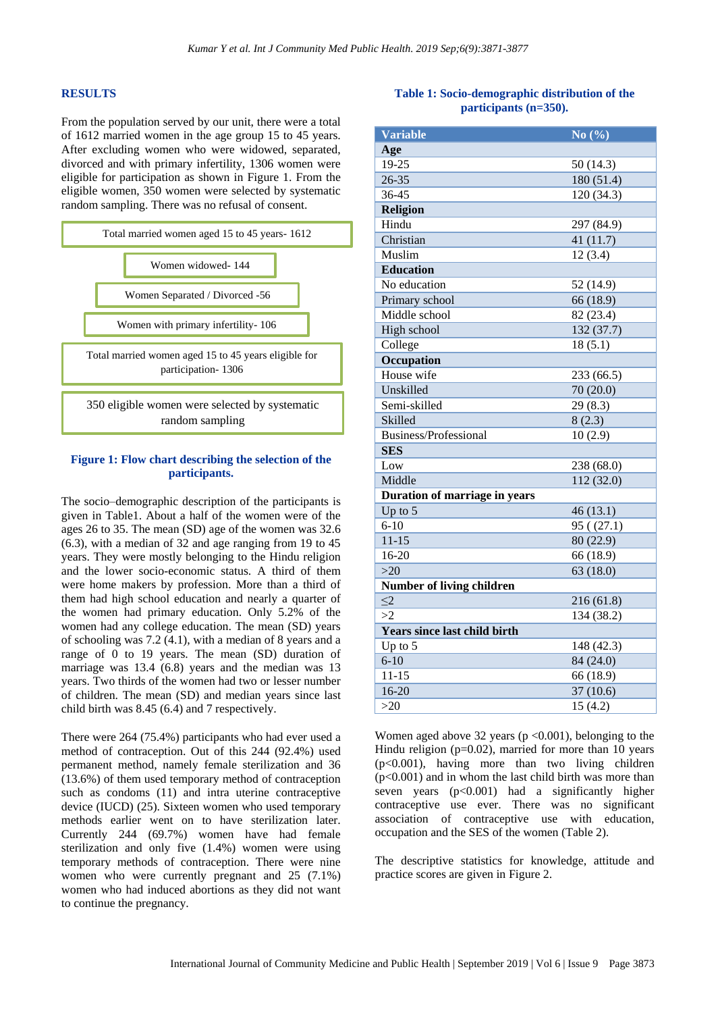#### **RESULTS**

From the population served by our unit, there were a total of 1612 married women in the age group 15 to 45 years. After excluding women who were widowed, separated, divorced and with primary infertility, 1306 women were eligible for participation as shown in Figure 1. From the eligible women, 350 women were selected by systematic random sampling. There was no refusal of consent.



#### **Figure 1: Flow chart describing the selection of the participants.**

The socio–demographic description of the participants is given in Table1. About a half of the women were of the ages 26 to 35. The mean (SD) age of the women was 32.6 (6.3), with a median of 32 and age ranging from 19 to 45 years. They were mostly belonging to the Hindu religion and the lower socio-economic status. A third of them were home makers by profession. More than a third of them had high school education and nearly a quarter of the women had primary education. Only 5.2% of the women had any college education. The mean (SD) years of schooling was 7.2 (4.1), with a median of 8 years and a range of  $\overline{0}$  to 19 years. The mean (SD) duration of marriage was 13.4 (6.8) years and the median was 13 years. Two thirds of the women had two or lesser number of children. The mean (SD) and median years since last child birth was 8.45 (6.4) and 7 respectively.

There were 264 (75.4%) participants who had ever used a method of contraception. Out of this 244 (92.4%) used permanent method, namely female sterilization and 36 (13.6%) of them used temporary method of contraception such as condoms  $(11)$  and intra uterine contraceptive device (IUCD) (25). Sixteen women who used temporary methods earlier went on to have sterilization later. Currently 244 (69.7%) women have had female sterilization and only five (1.4%) women were using temporary methods of contraception. There were nine women who were currently pregnant and 25 (7.1%) women who had induced abortions as they did not want to continue the pregnancy.

# **Table 1: Socio-demographic distribution of the participants (n=350).**

| <b>Variable</b>                     | No $(\% )$ |  |
|-------------------------------------|------------|--|
| Age                                 |            |  |
| 19-25                               | 50(14.3)   |  |
| 26-35                               | 180 (51.4) |  |
| 36-45                               | 120 (34.3) |  |
| <b>Religion</b>                     |            |  |
| Hindu                               | 297 (84.9) |  |
| Christian                           | 41 (11.7)  |  |
| Muslim                              | 12(3.4)    |  |
| <b>Education</b>                    |            |  |
| No education                        | 52 (14.9)  |  |
| Primary school                      | 66 (18.9)  |  |
| Middle school                       | 82 (23.4)  |  |
| High school                         | 132 (37.7) |  |
| College                             | 18(5.1)    |  |
| Occupation                          |            |  |
| House wife                          | 233 (66.5) |  |
| Unskilled                           | 70(20.0)   |  |
| Semi-skilled                        | 29(8.3)    |  |
| Skilled                             | 8(2.3)     |  |
| Business/Professional               | 10(2.9)    |  |
| <b>SES</b>                          |            |  |
| Low                                 | 238 (68.0) |  |
| Middle                              | 112 (32.0) |  |
| Duration of marriage in years       |            |  |
| Up to $5$                           | 46(13.1)   |  |
| $6 - 10$                            | 95( (27.1) |  |
| $11 - 15$                           | 80 (22.9)  |  |
| 16-20                               | 66 (18.9)  |  |
| $>20$                               | 63 (18.0)  |  |
| Number of living children           |            |  |
| $\leq$ 2                            | 216(61.8)  |  |
| >2                                  | 134 (38.2) |  |
| <b>Years since last child birth</b> |            |  |
| Up to 5                             | 148 (42.3) |  |
| $6 - 10$                            | 84 (24.0)  |  |
| $11 - 15$                           | 66 (18.9)  |  |
| $16-20$                             | 37(10.6)   |  |
| $>20$                               | 15(4.2)    |  |

Women aged above 32 years ( $p \le 0.001$ ), belonging to the Hindu religion ( $p=0.02$ ), married for more than 10 years (p<0.001), having more than two living children  $(p<0.001)$  and in whom the last child birth was more than seven years (p<0.001) had a significantly higher contraceptive use ever. There was no significant association of contraceptive use with education, occupation and the SES of the women (Table 2).

The descriptive statistics for knowledge, attitude and practice scores are given in Figure 2.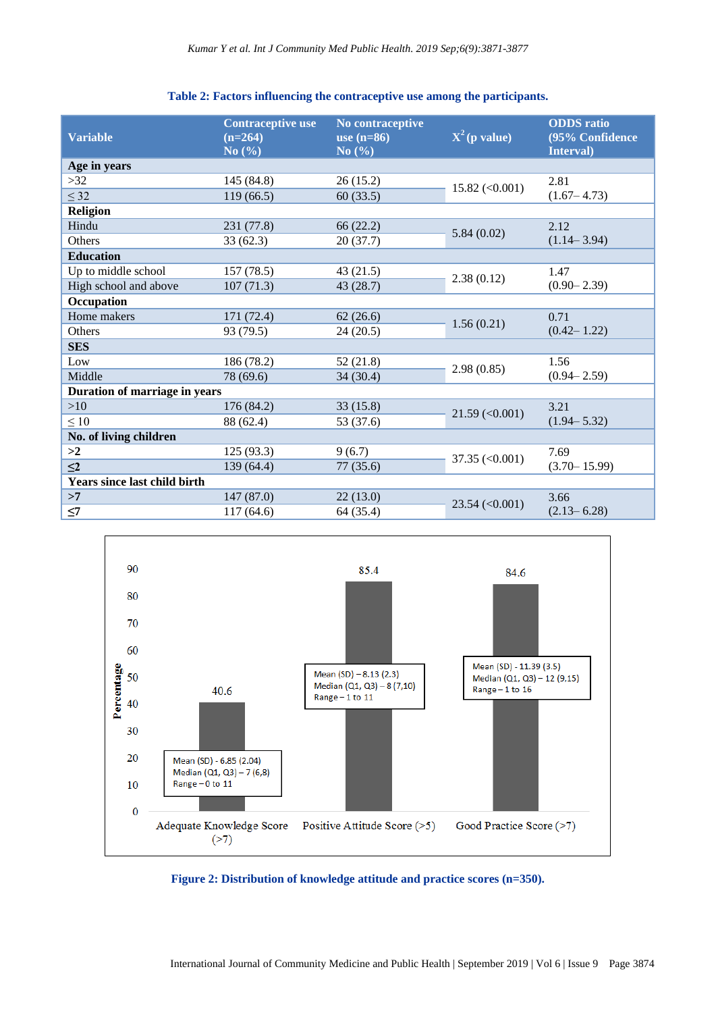# **Table 2: Factors influencing the contraceptive use among the participants.**

| <b>Variable</b>               | <b>Contraceptive use</b><br>$(n=264)$<br>No(%) | No contraceptive<br>use $(n=86)$<br>No $(\% )$ | $X^2$ (p value)                | <b>ODDS</b> ratio<br>(95% Confidence<br>Interval) |
|-------------------------------|------------------------------------------------|------------------------------------------------|--------------------------------|---------------------------------------------------|
| Age in years                  |                                                |                                                |                                |                                                   |
| >32                           | 145 (84.8)                                     | 26(15.2)                                       | $15.82 \, (\leq 0.001)$        | 2.81                                              |
| $\leq$ 32                     | 119(66.5)                                      | 60(33.5)                                       |                                | $(1.67 - 4.73)$                                   |
| <b>Religion</b>               |                                                |                                                |                                |                                                   |
| Hindu                         | 231 (77.8)                                     | 66(22.2)                                       |                                | 2.12                                              |
| Others                        | 33(62.3)                                       | 20(37.7)                                       | 5.84(0.02)                     | $(1.14 - 3.94)$                                   |
| <b>Education</b>              |                                                |                                                |                                |                                                   |
| Up to middle school           | 157(78.5)                                      | 43(21.5)                                       |                                | 1.47                                              |
| High school and above         | 107(71.3)                                      | 43(28.7)                                       | 2.38(0.12)                     | $(0.90 - 2.39)$                                   |
| Occupation                    |                                                |                                                |                                |                                                   |
| Home makers                   | 171 (72.4)                                     | 62(26.6)                                       |                                | 0.71                                              |
| Others                        | 93 (79.5)                                      | 24(20.5)                                       | 1.56(0.21)                     | $(0.42 - 1.22)$                                   |
| <b>SES</b>                    |                                                |                                                |                                |                                                   |
| Low                           | 186 (78.2)                                     | 52(21.8)                                       |                                | 1.56                                              |
| Middle                        | 78 (69.6)                                      | 34(30.4)                                       | 2.98(0.85)                     | $(0.94 - 2.59)$                                   |
| Duration of marriage in years |                                                |                                                |                                |                                                   |
| >10                           | 176 (84.2)                                     | 33(15.8)                                       |                                | 3.21                                              |
| $\leq 10$                     | 88 (62.4)                                      | 53 (37.6)                                      | $21.59 \left( < 0.001 \right)$ | $(1.94 - 5.32)$                                   |
| No. of living children        |                                                |                                                |                                |                                                   |
| >2                            | 125 (93.3)                                     | 9(6.7)                                         |                                | 7.69                                              |
| $\leq$ 2                      | 139(64.4)                                      | 77(35.6)                                       | $37.35 \left( <0.001 \right)$  | $(3.70 - 15.99)$                                  |
| Years since last child birth  |                                                |                                                |                                |                                                   |
| >7                            | 147 (87.0)                                     | 22(13.0)                                       |                                | 3.66                                              |
| $\leq$ 7                      | 117(64.6)                                      | 64 (35.4)                                      | $23.54 \left( <0.001 \right)$  | $(2.13 - 6.28)$                                   |



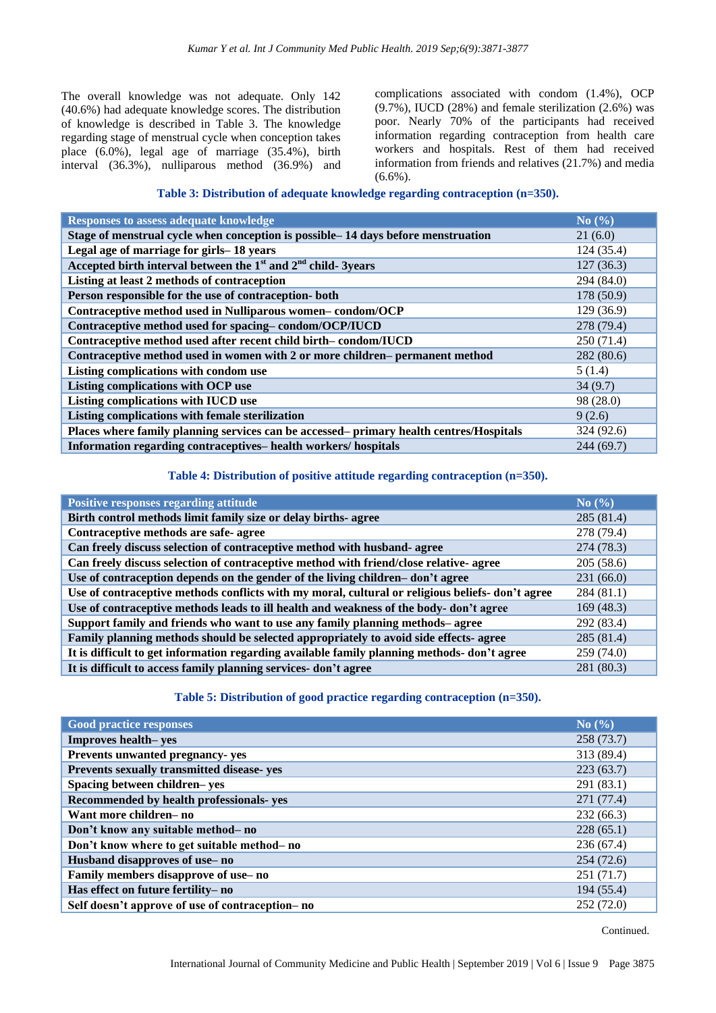The overall knowledge was not adequate. Only 142 (40.6%) had adequate knowledge scores. The distribution of knowledge is described in Table 3. The knowledge regarding stage of menstrual cycle when conception takes place (6.0%), legal age of marriage (35.4%), birth interval (36.3%), nulliparous method (36.9%) and complications associated with condom (1.4%), OCP (9.7%), IUCD (28%) and female sterilization (2.6%) was poor. Nearly 70% of the participants had received information regarding contraception from health care workers and hospitals. Rest of them had received information from friends and relatives (21.7%) and media  $(6.6\%)$ .

# **Table 3: Distribution of adequate knowledge regarding contraception (n=350).**

| <b>Responses to assess adequate knowledge</b>                                           | No $(\% )$ |
|-----------------------------------------------------------------------------------------|------------|
| Stage of menstrual cycle when conception is possible – 14 days before menstruation      | 21(6.0)    |
| Legal age of marriage for girls-18 years                                                | 124(35.4)  |
| Accepted birth interval between the $1st$ and $2nd$ child-3years                        | 127(36.3)  |
| Listing at least 2 methods of contraception                                             | 294 (84.0) |
| Person responsible for the use of contraception- both                                   | 178 (50.9) |
| Contraceptive method used in Nulliparous women-condom/OCP                               | 129 (36.9) |
| Contraceptive method used for spacing-condom/OCP/IUCD                                   | 278 (79.4) |
| Contraceptive method used after recent child birth-condom/IUCD                          | 250(71.4)  |
| Contraceptive method used in women with 2 or more children– permanent method            | 282(80.6)  |
| Listing complications with condom use                                                   | 5(1.4)     |
| Listing complications with OCP use                                                      | 34(9.7)    |
| Listing complications with IUCD use                                                     | 98 (28.0)  |
| Listing complications with female sterilization                                         | 9(2.6)     |
| Places where family planning services can be accessed- primary health centres/Hospitals | 324 (92.6) |
| Information regarding contraceptives-health workers/hospitals                           | 244(69.7)  |

#### **Table 4: Distribution of positive attitude regarding contraception (n=350).**

| <b>Positive responses regarding attitude</b>                                                    | No(%)      |
|-------------------------------------------------------------------------------------------------|------------|
| Birth control methods limit family size or delay births- agree                                  | 285(81.4)  |
| Contraceptive methods are safe-agree                                                            | 278 (79.4) |
| Can freely discuss selection of contraceptive method with husband- agree                        | 274 (78.3) |
| Can freely discuss selection of contraceptive method with friend/close relative- agree          | 205(58.6)  |
| Use of contraception depends on the gender of the living children-don't agree                   | 231(66.0)  |
| Use of contraceptive methods conflicts with my moral, cultural or religious beliefs-don't agree | 284 (81.1) |
| Use of contraceptive methods leads to ill health and weakness of the body-don't agree           | 169(48.3)  |
| Support family and friends who want to use any family planning methods– agree                   | 292 (83.4) |
| Family planning methods should be selected appropriately to avoid side effects- agree           | 285 (81.4) |
| It is difficult to get information regarding available family planning methods- don't agree     | 259 (74.0) |
| It is difficult to access family planning services- don't agree                                 | 281 (80.3) |

#### **Table 5: Distribution of good practice regarding contraception (n=350).**

| <b>Good practice responses</b>                   | $\mathrm{No}$ (%) |
|--------------------------------------------------|-------------------|
| <b>Improves health–yes</b>                       | 258 (73.7)        |
| Prevents unwanted pregnancy-yes                  | 313 (89.4)        |
| Prevents sexually transmitted disease-yes        | 223(63.7)         |
| Spacing between children-yes                     | 291 (83.1)        |
| Recommended by health professionals-yes          | 271 (77.4)        |
| Want more children- no                           | 232(66.3)         |
| Don't know any suitable method- no               | 228(65.1)         |
| Don't know where to get suitable method- no      | 236(67.4)         |
| Husband disapproves of use-no                    | 254(72.6)         |
| Family members disapprove of use-no              | 251 (71.7)        |
| Has effect on future fertility-no                | 194 (55.4)        |
| Self doesn't approve of use of contraception- no | 252(72.0)         |

Continued.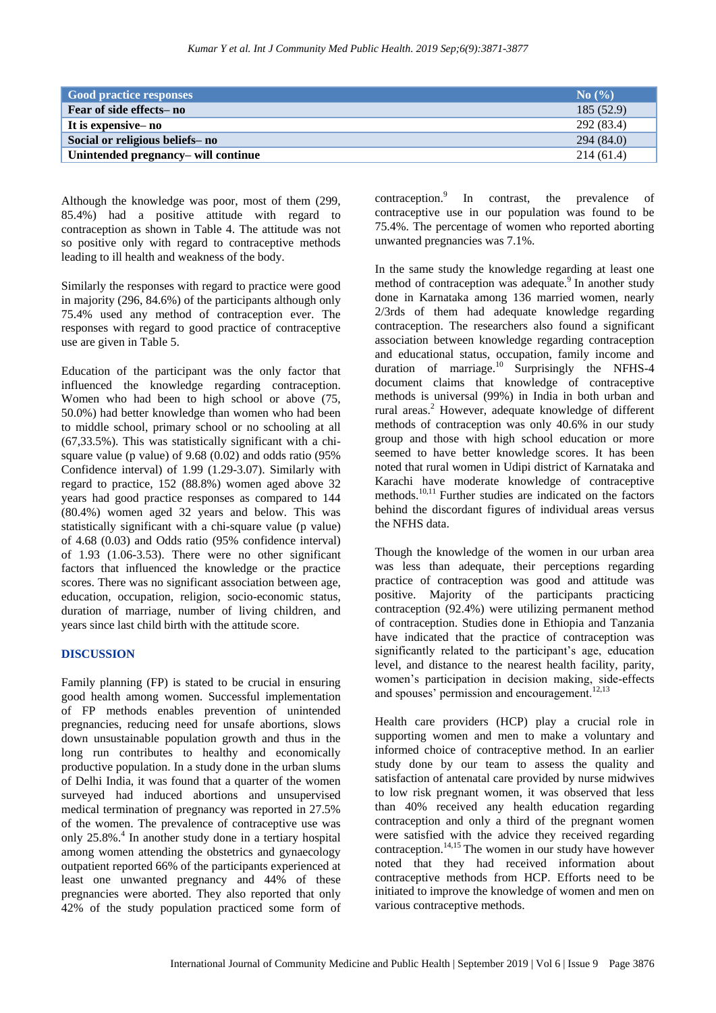| <b>Good practice responses</b>      | $\mathbf{No}(\% )$ |
|-------------------------------------|--------------------|
| Fear of side effects– no            | 185(52.9)          |
| It is expensive - no                | 292 (83.4)         |
| Social or religious beliefs-no      | 294(84.0)          |
| Unintended pregnancy– will continue | 214(61.4)          |

Although the knowledge was poor, most of them (299, 85.4%) had a positive attitude with regard to contraception as shown in Table 4. The attitude was not so positive only with regard to contraceptive methods leading to ill health and weakness of the body.

Similarly the responses with regard to practice were good in majority (296, 84.6%) of the participants although only 75.4% used any method of contraception ever. The responses with regard to good practice of contraceptive use are given in Table 5.

Education of the participant was the only factor that influenced the knowledge regarding contraception. Women who had been to high school or above (75, 50.0%) had better knowledge than women who had been to middle school, primary school or no schooling at all (67,33.5%). This was statistically significant with a chisquare value (p value) of  $9.68$  (0.02) and odds ratio ( $95\%$ ) Confidence interval) of 1.99 (1.29-3.07). Similarly with regard to practice, 152 (88.8%) women aged above 32 years had good practice responses as compared to 144 (80.4%) women aged 32 years and below. This was statistically significant with a chi-square value (p value) of 4.68 (0.03) and Odds ratio (95% confidence interval) of 1.93 (1.06-3.53). There were no other significant factors that influenced the knowledge or the practice scores. There was no significant association between age, education, occupation, religion, socio-economic status, duration of marriage, number of living children, and years since last child birth with the attitude score.

#### **DISCUSSION**

Family planning (FP) is stated to be crucial in ensuring good health among women. Successful implementation of FP methods enables prevention of unintended pregnancies, reducing need for unsafe abortions, slows down unsustainable population growth and thus in the long run contributes to healthy and economically productive population. In a study done in the urban slums of Delhi India, it was found that a quarter of the women surveyed had induced abortions and unsupervised medical termination of pregnancy was reported in 27.5% of the women. The prevalence of contraceptive use was only 25.8%.<sup>4</sup> In another study done in a tertiary hospital among women attending the obstetrics and gynaecology outpatient reported 66% of the participants experienced at least one unwanted pregnancy and 44% of these pregnancies were aborted. They also reported that only 42% of the study population practiced some form of contraception.<sup>9</sup> In contrast, the prevalence of contraceptive use in our population was found to be 75.4%. The percentage of women who reported aborting unwanted pregnancies was 7.1%.

In the same study the knowledge regarding at least one method of contraception was adequate.<sup>9</sup> In another study done in Karnataka among 136 married women, nearly 2/3rds of them had adequate knowledge regarding contraception. The researchers also found a significant association between knowledge regarding contraception and educational status, occupation, family income and duration of marriage.<sup>10</sup> Surprisingly the NFHS-4 document claims that knowledge of contraceptive methods is universal (99%) in India in both urban and rural areas.<sup>2</sup> However, adequate knowledge of different methods of contraception was only 40.6% in our study group and those with high school education or more seemed to have better knowledge scores. It has been noted that rural women in Udipi district of Karnataka and Karachi have moderate knowledge of contraceptive methods.10,11 Further studies are indicated on the factors behind the discordant figures of individual areas versus the NFHS data.

Though the knowledge of the women in our urban area was less than adequate, their perceptions regarding practice of contraception was good and attitude was positive. Majority of the participants practicing contraception (92.4%) were utilizing permanent method of contraception. Studies done in Ethiopia and Tanzania have indicated that the practice of contraception was significantly related to the participant's age, education level, and distance to the nearest health facility, parity, women's participation in decision making, side-effects and spouses' permission and encouragement.<sup>12,13</sup>

Health care providers (HCP) play a crucial role in supporting women and men to make a voluntary and informed choice of contraceptive method. In an earlier study done by our team to assess the quality and satisfaction of antenatal care provided by nurse midwives to low risk pregnant women, it was observed that less than 40% received any health education regarding contraception and only a third of the pregnant women were satisfied with the advice they received regarding contraception.<sup>14,15</sup> The women in our study have however noted that they had received information about contraceptive methods from HCP. Efforts need to be initiated to improve the knowledge of women and men on various contraceptive methods.